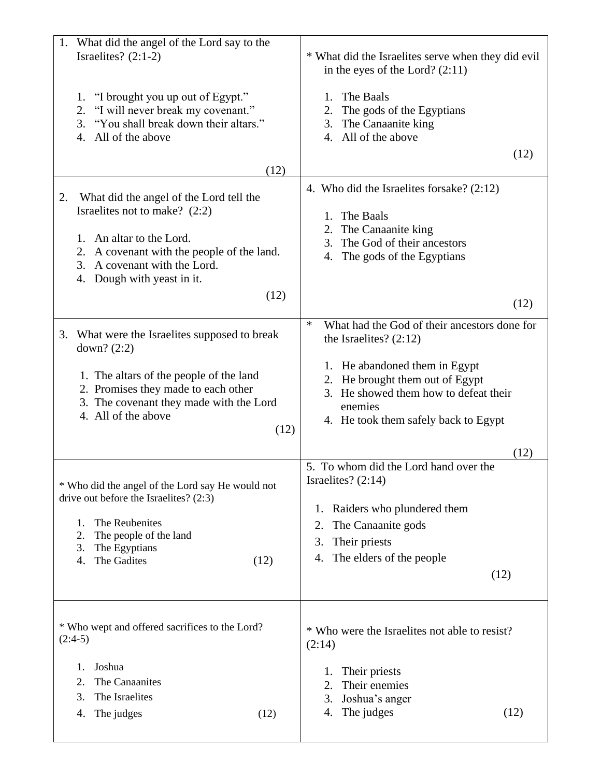| 1. What did the angel of the Lord say to the<br>Israelites? $(2:1-2)$                                                                                    | * What did the Israelites serve when they did evil<br>in the eyes of the Lord? $(2:11)$                                                                      |
|----------------------------------------------------------------------------------------------------------------------------------------------------------|--------------------------------------------------------------------------------------------------------------------------------------------------------------|
| "I brought you up out of Egypt."<br>1.<br>"I will never break my covenant."<br>2.<br>3. "You shall break down their altars."<br>All of the above<br>4.   | The Baals<br>1.<br>The gods of the Egyptians<br>2.<br>The Canaanite king<br>3.<br>4. All of the above                                                        |
| (12)                                                                                                                                                     | (12)                                                                                                                                                         |
| What did the angel of the Lord tell the<br>2.<br>Israelites not to make? (2:2)                                                                           | 4. Who did the Israelites for sake? $(2:12)$<br>The Baals<br>1.<br>The Canaanite king<br>2.                                                                  |
| 1. An altar to the Lord.<br>2. A covenant with the people of the land.<br>A covenant with the Lord.<br>3.<br>Dough with yeast in it.<br>4.               | The God of their ancestors<br>3.<br>The gods of the Egyptians<br>4.                                                                                          |
| (12)                                                                                                                                                     | (12)                                                                                                                                                         |
| 3.<br>What were the Israelites supposed to break<br>down? $(2:2)$                                                                                        | $\ast$<br>What had the God of their ancestors done for<br>the Israelites? $(2:12)$                                                                           |
| 1. The altars of the people of the land<br>2. Promises they made to each other<br>3. The covenant they made with the Lord<br>4. All of the above<br>(12) | 1. He abandoned them in Egypt<br>2. He brought them out of Egypt<br>3. He showed them how to defeat their<br>enemies<br>4. He took them safely back to Egypt |
|                                                                                                                                                          | (12)<br>5. To whom did the Lord hand over the                                                                                                                |
| * Who did the angel of the Lord say He would not<br>drive out before the Israelites? (2:3)                                                               | Israelites? $(2:14)$                                                                                                                                         |
| The Reubenites<br>1.                                                                                                                                     | Raiders who plundered them<br>1.<br>2.                                                                                                                       |
| 2.<br>The people of the land                                                                                                                             | The Canaanite gods<br>3.<br>Their priests                                                                                                                    |
| 3.<br>The Egyptians<br>The Gadites<br>(12)<br>4.                                                                                                         | The elders of the people<br>4.                                                                                                                               |
|                                                                                                                                                          | (12)                                                                                                                                                         |
| * Who wept and offered sacrifices to the Lord?<br>$(2:4-5)$                                                                                              | * Who were the Israelites not able to resist?<br>(2:14)                                                                                                      |
| Joshua<br>1.                                                                                                                                             | Their priests<br>1.                                                                                                                                          |
| 2.<br>The Canaanites<br>3.                                                                                                                               | Their enemies<br>2.                                                                                                                                          |
| The Israelites<br>4.<br>The judges<br>(12)                                                                                                               | 3.<br>Joshua's anger<br>The judges<br>(12)<br>4.                                                                                                             |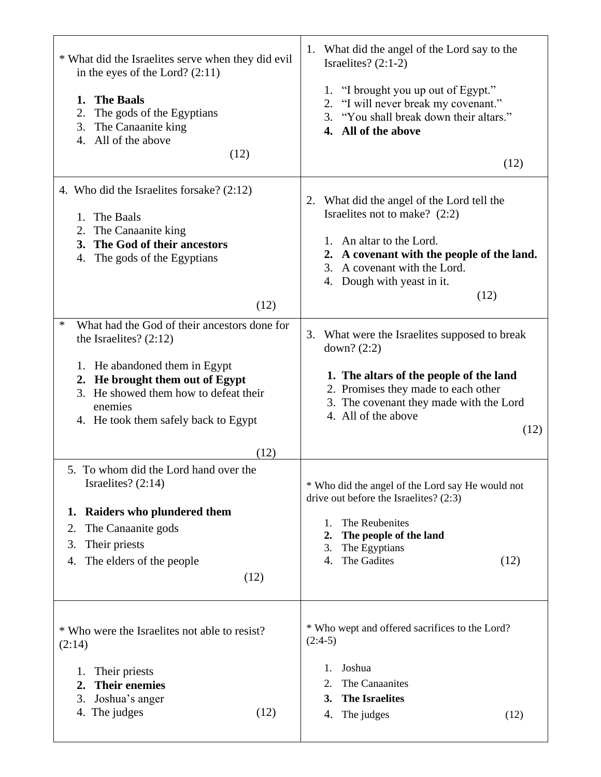| * What did the Israelites serve when they did evil<br>in the eyes of the Lord? $(2:11)$<br><b>The Baals</b><br>1.<br>The gods of the Egyptians<br>2.<br>3.<br>The Canaanite king<br>4. All of the above<br>(12)                                       | 1. What did the angel of the Lord say to the<br>Israelites? $(2:1-2)$<br>1. "I brought you up out of Egypt."<br>2. "I will never break my covenant."<br>3. "You shall break down their altars."<br>4. All of the above<br>(12) |
|-------------------------------------------------------------------------------------------------------------------------------------------------------------------------------------------------------------------------------------------------------|--------------------------------------------------------------------------------------------------------------------------------------------------------------------------------------------------------------------------------|
| 4. Who did the Israelites forsake? (2:12)<br>The Baals<br>1.<br>2. The Canaanite king<br>3. The God of their ancestors<br>The gods of the Egyptians<br>4.<br>(12)                                                                                     | 2. What did the angel of the Lord tell the<br>Israelites not to make? (2:2)<br>1. An altar to the Lord.<br>2. A covenant with the people of the land.<br>3. A covenant with the Lord.<br>4. Dough with yeast in it.<br>(12)    |
| What had the God of their ancestors done for<br>∗<br>the Israelites? $(2:12)$<br>1. He abandoned them in Egypt<br>2. He brought them out of Egypt<br>3. He showed them how to defeat their<br>enemies<br>4. He took them safely back to Egypt<br>(12) | 3. What were the Israelites supposed to break<br>down? $(2:2)$<br>1. The altars of the people of the land<br>2. Promises they made to each other<br>3. The covenant they made with the Lord<br>4. All of the above<br>(12)     |
| 5. To whom did the Lord hand over the<br>Israelites? $(2:14)$<br>Raiders who plundered them<br>1.<br>The Canaanite gods<br>2.<br>Their priests<br>3.<br>The elders of the people<br>4.<br>(12)                                                        | * Who did the angel of the Lord say He would not<br>drive out before the Israelites? (2:3)<br>The Reubenites<br>1.<br>2.<br>The people of the land<br>The Egyptians<br>3.<br>The Gadites<br>(12)<br>4.                         |
| * Who were the Israelites not able to resist?<br>(2:14)<br>Their priests<br>1.<br><b>Their enemies</b><br>2.<br>3.<br>Joshua's anger<br>4. The judges<br>(12)                                                                                         | * Who wept and offered sacrifices to the Lord?<br>$(2:4-5)$<br>Joshua<br>1.<br>The Canaanites<br>2.<br><b>The Israelites</b><br>3.<br>The judges<br>(12)<br>4.                                                                 |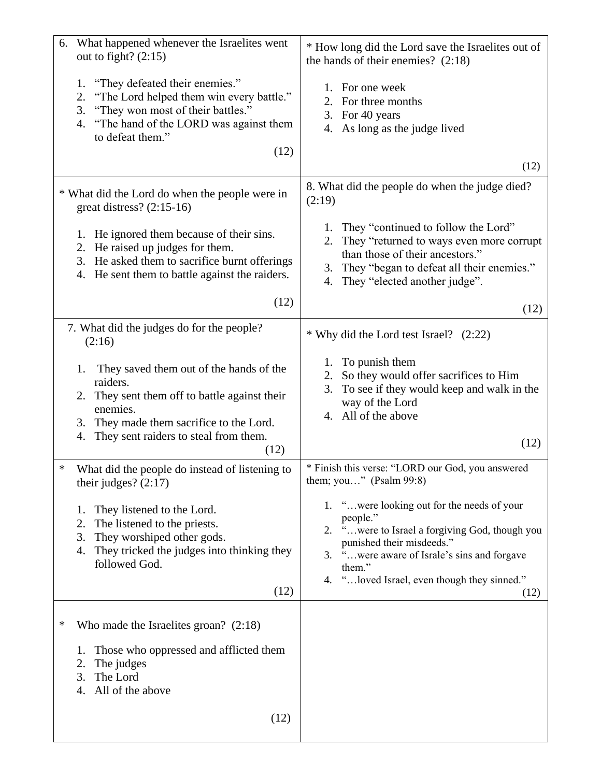| What happened whenever the Israelites went<br>6.<br>out to fight? $(2:15)$                                                                                                                                                   | * How long did the Lord save the Israelites out of<br>the hands of their enemies? $(2:18)$                                                                                                                                                             |
|------------------------------------------------------------------------------------------------------------------------------------------------------------------------------------------------------------------------------|--------------------------------------------------------------------------------------------------------------------------------------------------------------------------------------------------------------------------------------------------------|
| "They defeated their enemies."<br>1.<br>"The Lord helped them win every battle."<br>2.<br>"They won most of their battles."<br>3.<br>"The hand of the LORD was against them<br>4.<br>to defeat them."<br>(12)                | 1. For one week<br>For three months<br>2.<br>3. For 40 years<br>4. As long as the judge lived<br>(12)                                                                                                                                                  |
| * What did the Lord do when the people were in<br>great distress? $(2:15-16)$                                                                                                                                                | 8. What did the people do when the judge died?<br>(2:19)                                                                                                                                                                                               |
| 1. He ignored them because of their sins.<br>2. He raised up judges for them.<br>3. He asked them to sacrifice burnt offerings<br>4. He sent them to battle against the raiders.                                             | They "continued to follow the Lord"<br>1.<br>They "returned to ways even more corrupt<br>2.<br>than those of their ancestors."<br>They "began to defeat all their enemies."<br>3.<br>They "elected another judge".<br>4.                               |
| (12)                                                                                                                                                                                                                         | (12)                                                                                                                                                                                                                                                   |
| 7. What did the judges do for the people?<br>(2:16)                                                                                                                                                                          | * Why did the Lord test Israel? (2:22)                                                                                                                                                                                                                 |
| They saved them out of the hands of the<br>1.<br>raiders.<br>2. They sent them off to battle against their<br>enemies.<br>They made them sacrifice to the Lord.<br>3.<br>They sent raiders to steal from them.<br>4.<br>(12) | To punish them<br>1.<br>So they would offer sacrifices to Him<br>2.<br>To see if they would keep and walk in the<br>3.<br>way of the Lord<br>4. All of the above<br>(12)                                                                               |
| ∗<br>What did the people do instead of listening to<br>their judges? $(2:17)$                                                                                                                                                | * Finish this verse: "LORD our God, you answered<br>them; you" (Psalm $99:8$ )                                                                                                                                                                         |
| They listened to the Lord.<br>1.<br>The listened to the priests.<br>2.<br>They worshiped other gods.<br>3.<br>They tricked the judges into thinking they<br>4.<br>followed God.<br>(12)                                      | 1. "were looking out for the needs of your<br>people."<br>2. "were to Israel a forgiving God, though you<br>punished their misdeeds."<br>3. "were aware of Israle's sins and forgave<br>them."<br>4. " loved Israel, even though they sinned."<br>(12) |
| ∗<br>Who made the Israelites groan? $(2:18)$                                                                                                                                                                                 |                                                                                                                                                                                                                                                        |
| Those who oppressed and afflicted them<br>1.<br>The judges<br>2.<br>The Lord<br>3.<br>All of the above<br>4.                                                                                                                 |                                                                                                                                                                                                                                                        |
| (12)                                                                                                                                                                                                                         |                                                                                                                                                                                                                                                        |